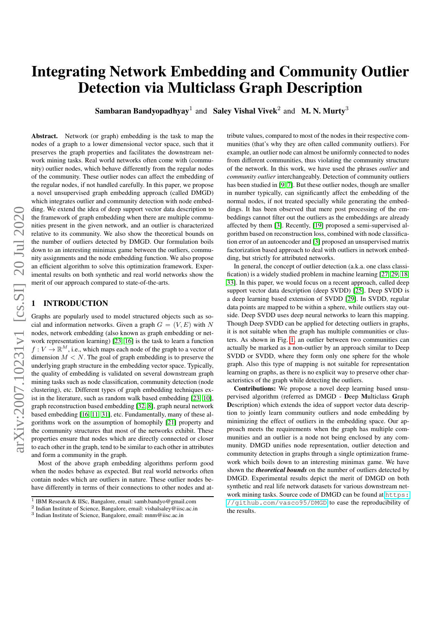# Integrating Network Embedding and Community Outlier Detection via Multiclass Graph Description

Sambaran Bandyopadhyay<sup>1</sup> and Saley Vishal Vivek<sup>2</sup> and M.N. Murty<sup>3</sup>

Abstract. Network (or graph) embedding is the task to map the nodes of a graph to a lower dimensional vector space, such that it preserves the graph properties and facilitates the downstream network mining tasks. Real world networks often come with (community) outlier nodes, which behave differently from the regular nodes of the community. These outlier nodes can affect the embedding of the regular nodes, if not handled carefully. In this paper, we propose a novel unsupervised graph embedding approach (called DMGD) which integrates outlier and community detection with node embedding. We extend the idea of deep support vector data description to the framework of graph embedding when there are multiple communities present in the given network, and an outlier is characterized relative to its community. We also show the theoretical bounds on the number of outliers detected by DMGD. Our formulation boils down to an interesting minimax game between the outliers, community assignments and the node embedding function. We also propose an efficient algorithm to solve this optimization framework. Experimental results on both synthetic and real world networks show the merit of our approach compared to state-of-the-arts.

# <span id="page-0-0"></span>**INTRODUCTION**

Graphs are popularly used to model structured objects such as social and information networks. Given a graph  $G = (V, E)$  with N nodes, network embedding (also known as graph embedding or network representation learning) [\[23,](#page-7-0) [16\]](#page-7-1) is the task to learn a function  $f: V \to \mathbb{R}^M$ , i.e., which maps each node of the graph to a vector of dimension  $M < N$ . The goal of graph embedding is to preserve the underlying graph structure in the embedding vector space. Typically, the quality of embedding is validated on several downstream graph mining tasks such as node classification, community detection (node clustering), etc. Different types of graph embedding techniques exist in the literature, such as random walk based embedding [\[23,](#page-7-0) [10\]](#page-7-2), graph reconstruction based embedding [\[32,](#page-7-3) [8\]](#page-7-4), graph neural network based embedding [\[16,](#page-7-1) [11,](#page-7-5) [31\]](#page-7-6), etc. Fundamentally, many of these algorithms work on the assumption of homophily [\[21\]](#page-7-7) property and the community structures that most of the networks exhibit. These properties ensure that nodes which are directly connected or closer to each other in the graph, tend to be similar to each other in attributes and form a community in the graph.

Most of the above graph embedding algorithms perform good when the nodes behave as expected. But real world networks often contain nodes which are outliers in nature. These outlier nodes behave differently in terms of their connections to other nodes and attribute values, compared to most of the nodes in their respective communities (that's why they are often called community outliers). For example, an outlier node can almost be uniformly connected to nodes from different communities, thus violating the community structure of the network. In this work, we have used the phrases *outlier* and *community outlier* interchangeably. Detection of community outliers has been studied in [\[9,](#page-7-8) [7\]](#page-7-9). But these outlier nodes, though are smaller in number typically, can significantly affect the embedding of the normal nodes, if not treated specially while generating the embeddings. It has been observed that mere post processing of the embeddings cannot filter out the outliers as the embeddings are already affected by them [\[3\]](#page-7-10). Recently, [\[19\]](#page-7-11) proposed a semi-supervised algorithm based on reconstruction loss, combined with node classification error of an autoencoder and [\[3\]](#page-7-10) proposed an unsupervised matrix factorization based approach to deal with outliers in network embedding, but strictly for attributed networks.

In general, the concept of outlier detection (a.k.a. one class classification) is a widely studied problem in machine learning [\[27,](#page-7-12) [29,](#page-7-13) [18,](#page-7-14) [33\]](#page-7-15). In this paper, we would focus on a recent approach, called deep support vector data description (deep SVDD) [\[25\]](#page-7-16). Deep SVDD is a deep learning based extension of SVDD [\[29\]](#page-7-13). In SVDD, regular data points are mapped to be within a sphere, while outliers stay outside. Deep SVDD uses deep neural networks to learn this mapping. Though Deep SVDD can be applied for detecting outliers in graphs, it is not suitable when the graph has multiple communities or clusters. As shown in Fig. [1,](#page-1-0) an outlier between two communities can actually be marked as a non-outlier by an approach similar to Deep SVDD or SVDD, where they form only one sphere for the whole graph. Also this type of mapping is not suitable for representation learning on graphs, as there is no explicit way to preserve other characteristics of the graph while detecting the outliers.

Contributions: We propose a novel deep learning based unsupervised algorithm (referred as DMGD - Deep Multiclass Graph Description) which extends the idea of support vector data description to jointly learn community outliers and node embedding by minimizing the effect of outliers in the embedding space. Our approach meets the requirements when the graph has multiple communities and an outlier is a node not being enclosed by any community. DMGD unifies node representation, outlier detection and community detection in graphs through a single optimization framework which boils down to an interesting minimax game. We have shown the *theoretical bounds* on the number of outliers detected by DMGD. Experimental results depict the merit of DMGD on both synthetic and real life network datasets for various downstream network mining tasks. Source code of DMGD can be found at [https:](https://github.com/vasco95/DMGD) [//github.com/vasco95/DMGD](https://github.com/vasco95/DMGD) to ease the reproducibility of the results.

<sup>&</sup>lt;sup>1</sup> IBM Research & IISc, Bangalore, email: samb.bandyo@gmail.com

<sup>2</sup> Indian Institute of Science, Bangalore, email: vishalsaley@iisc.ac.in

<sup>3</sup> Indian Institute of Science, Bangalore, email: mnm@iisc.ac.in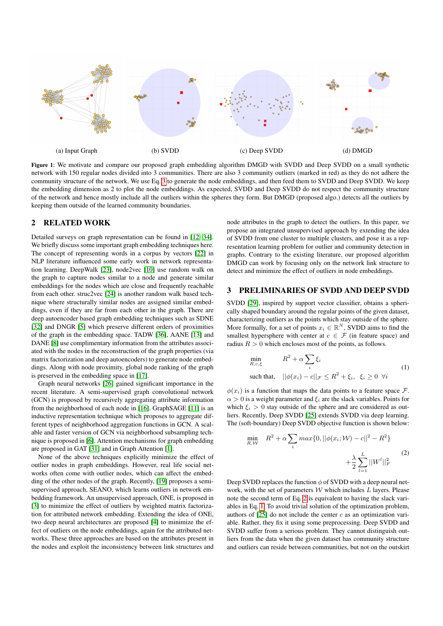<span id="page-1-0"></span>

Figure 1: We motivate and compare our proposed graph embedding algorithm DMGD with SVDD and Deep SVDD on a small synthetic network with 150 regular nodes divided into 3 communities. There are also 3 community outliers (marked in red) as they do not adhere the community structure of the network. We use Eq. [3](#page-2-0) to generate the node embeddings, and then feed them to SVDD and Deep SVDD. We keep the embedding dimension as 2 to plot the node embeddings. As expected, SVDD and Deep SVDD do not respect the community structure of the network and hence mostly include all the outliers within the spheres they form. But DMGD (proposed algo.) detects all the outliers by keeping them outside of the learned community boundaries.

#### 2 RELATED WORK

Detailed surveys on graph representation can be found in [\[12,](#page-7-17) [34\]](#page-7-18). We briefly discuss some important graph embedding techniques here. The concept of representing words in a corpus by vectors [\[22\]](#page-7-19) in NLP literature influenced some early work in network representation learning. DeepWalk [\[23\]](#page-7-0), node2vec [\[10\]](#page-7-2) use random walk on the graph to capture nodes similar to a node and generate similar embeddings for the nodes which are close and frequently reachable from each other. struc2vec [\[24\]](#page-7-20) is another random walk based technique where structurally similar nodes are assigned similar embeddings, even if they are far from each other in the graph. There are deep autoencoder based graph embedding techniques such as SDNE [\[32\]](#page-7-3) and DNGR [\[5\]](#page-7-21) which preserve different orders of proximities of the graph in the embedding space. TADW [\[36\]](#page-7-22), AANE [\[13\]](#page-7-23) and DANE [\[8\]](#page-7-4) use complimentary information from the attributes associated with the nodes in the reconstruction of the graph properties (via matrix factorization and deep autoencoders) to generate node embeddings. Along with node proximity, global node ranking of the graph is preserved in the embedding space in [\[17\]](#page-7-24).

Graph neural networks [\[26\]](#page-7-25) gained significant importance in the recent literature. A semi-supervised graph convolutional network (GCN) is proposed by recursively aggregating attribute information from the neighborhood of each node in [\[16\]](#page-7-1). GraphSAGE [\[11\]](#page-7-5) is an inductive representation technique which proposes to aggregate different types of neighborhood aggregation functions in GCN. A scalable and faster version of GCN via neighborhood subsampling technique is proposed in [\[6\]](#page-7-26). Attention mechanisms for graph embedding are proposed in GAT [\[31\]](#page-7-6) and in Graph Attention [\[1\]](#page-7-27).

None of the above techniques explicitly minimize the effect of outlier nodes in graph embeddings. However, real life social networks often come with outlier nodes, which can affect the embedding of the other nodes of the graph. Recently, [\[19\]](#page-7-11) proposes a semisupervised approach, SEANO, which learns outliers in network embedding framework. An unsupervised approach, ONE, is proposed in [\[3\]](#page-7-10) to minimize the effect of outliers by weighted matrix factorization for attributed network embedding. Extending the idea of ONE, two deep neural architectures are proposed [\[4\]](#page-7-28) to minimize the effect of outliers on the node embeddings, again for the attributed networks. These three approaches are based on the attributes present in the nodes and exploit the inconsistency between link structures and node attributes in the graph to detect the outliers. In this paper, we propose an integrated unsupervised approach by extending the idea of SVDD from one cluster to multiple clusters, and pose it as a representation learning problem for outlier and community detection in graphs. Contrary to the existing literature, our proposed algorithm DMGD can work by focusing only on the network link structure to detect and minimize the effect of outliers in node embeddings.

# 3 PRELIMINARIES OF SVDD AND DEEP SVDD

SVDD [\[29\]](#page-7-13), inspired by support vector classifier, obtains a spherically shaped boundary around the regular points of the given dataset, characterizing outliers as the points which stay outside of the sphere. More formally, for a set of points  $x_i \in \mathbb{R}^N$ , SVDD aims to find the smallest hypersphere with center at  $c \in \mathcal{F}$  (in feature space) and radius  $R > 0$  which encloses most of the points, as follows.

<span id="page-1-2"></span>
$$
\min_{R,c,\xi} \qquad R^2 + \alpha \sum_{i} \xi_i
$$
\n
$$
\text{such that,} \quad ||\phi(x_i) - c||_{\mathcal{F}} \le R^2 + \xi_i, \ \xi_i \ge 0 \ \forall i
$$
\n
$$
(1)
$$

 $\phi(x_i)$  is a function that maps the data points to a feature space F.  $\alpha > 0$  is a weight parameter and  $\xi_i$  are the slack variables. Points for which  $\xi_i > 0$  stay outside of the sphere and are considered as outliers. Recently, Deep SVDD [\[25\]](#page-7-16) extends SVDD via deep learning. The (soft-boundary) Deep SVDD objective function is shown below:

<span id="page-1-1"></span>
$$
\min_{R,\mathcal{W}} \quad R^2 + \alpha \sum_{i} \max\{0, ||\phi(x_i; \mathcal{W}) - c||^2 - R^2\} \\
+ \frac{\lambda}{2} \sum_{l=1}^{L} ||W^l||_F^2
$$
\n(2)

Deep SVDD replaces the function  $\phi$  of SVDD with a deep neural network, with the set of parameters  $W$  which includes  $L$  layers. Please note the second term of Eq. [2](#page-1-1) is equivalent to having the slack variables in Eq. [1.](#page-1-2) To avoid trivial solution of the optimization problem, authors of  $[25]$  do not include the center c as an optimization variable. Rather, they fix it using some preprocessing. Deep SVDD and SVDD suffer from a serious problem. They cannot distinguish outliers from the data when the given dataset has community structure and outliers can reside between communities, but not on the outskirt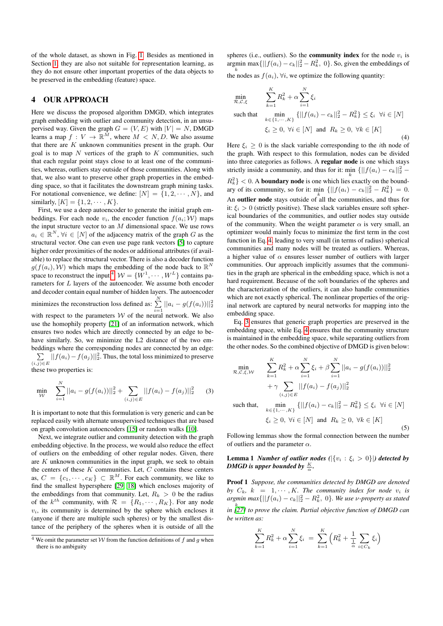of the whole dataset, as shown in Fig. [1.](#page-1-0) Besides as mentioned in Section [1,](#page-0-0) they are also not suitable for representation learning, as they do not ensure other important properties of the data objects to be preserved in the embedding (feature) space.

#### 4 OUR APPROACH

Here we discuss the proposed algorithm DMGD, which integrates graph embedding with outlier and community detection, in an unsupervised way. Given the graph  $G = (V, E)$  with  $|V| = N$ , DMGD learns a map  $f: V \to \mathbb{R}^M$ , where  $M < N, D$ . We also assume that there are K unknown communities present in the graph. Our goal is to map  $N$  vertices of the graph to  $K$  communities, such that each regular point stays close to at least one of the communities, whereas, outliers stay outside of those communities. Along with that, we also want to preserve other graph properties in the embedding space, so that it facilitates the downstream graph mining tasks. For notational convenience, we define:  $[N] = \{1, 2, \cdots, N\}$ , and similarly,  $[K] = \{1, 2, \dots, K\}.$ 

First, we use a deep autoencoder to generate the initial graph embeddings. For each node  $v_i$ , the encoder function  $f(a_i; W)$  maps the input structure vector to an  $M$  dimensional space. We use rows  $a_i \in \mathbb{R}^N$ ,  $\forall i \in [N]$  of the adjacency matrix of the graph G as the structural vector. One can even use page rank vectors [\[5\]](#page-7-21) to capture higher order proximities of the nodes or additional attributes (if available) to replace the structural vector. There is also a decoder function  $g(f(a_i), W)$  which maps the embedding of the node back to  $\mathbb{R}^N$ space to reconstruct the input <sup>[4](#page-2-1)</sup>.  $W = \{W^1, \dots, W^L\}$  contains parameters for L layers of the autoencoder. We assume both encoder and decoder contain equal number of hidden layers. The autoencoder minimizes the reconstruction loss defined as:  $\sum_{n=1}^{N} ||a_i - g(f(a_i))||_2^2$ with respect to the parameters W of the neural network. We also use the homophily property [\[21\]](#page-7-7) of an information network, which ensures two nodes which are directly connected by an edge to behave similarly. So, we minimize the L2 distance of the two embeddings where the corresponding nodes are connected by an edge:  $\sum_{(i,j)\in E} ||f(a_i) - f(a_j)||_2^2$ . Thus, the total loss minimized to preserve these two properties is:

<span id="page-2-0"></span>
$$
\min_{\mathcal{W}} \sum_{i=1}^{N} ||a_i - g(f(a_i))||_2^2 + \sum_{(i,j) \in E} ||f(a_i) - f(a_j)||_2^2 \qquad (3)
$$

It is important to note that this formulation is very generic and can be replaced easily with alternate unsupervised techniques that are based on graph convolution autoencoders [\[15\]](#page-7-29) or random walks [\[10\]](#page-7-2).

Next, we integrate outlier and community detection with the graph embedding objective. In the process, we would also reduce the effect of outliers on the embedding of other regular nodes. Given, there are  $K$  unknown communities in the input graph, we seek to obtain the centers of these  $K$  communities. Let,  $C$  contains these centers as,  $C = \{c_1, \dots, c_K\} \subset \mathbb{R}^M$ . For each community, we like to find the smallest hypersphere [\[29,](#page-7-13) [18\]](#page-7-14) which encloses majority of the embeddings from that community. Let,  $R_k > 0$  be the radius of the  $k^{th}$  community, with  $\mathcal{R} = \{R_1, \cdots, R_K\}$ . For any node  $v_i$ , its community is determined by the sphere which encloses it (anyone if there are multiple such spheres) or by the smallest distance of the periphery of the spheres when it is outside of all the spheres (i.e., outliers). So the **community index** for the node  $v_i$  is argmin max $\{||f(a_i) - c_k||_2^2 - R_k^2, 0\}$ . So, given the embeddings of the nodes as  $f(a_i)$ ,  $\forall i$ , we optimize the following quantity:

<span id="page-2-2"></span>
$$
\min_{\mathcal{R},\mathcal{C},\xi} \qquad \sum_{k=1}^{K} R_k^2 + \alpha \sum_{i=1}^{N} \xi_i
$$
\n
$$
\text{such that} \quad \min_{k \in \{1, \cdots, K\}} \{ ||f(a_i) - c_k||_2^2 - R_k^2 \} \le \xi_i \ \forall i \in [N]
$$
\n
$$
\xi_i \ge 0, \ \forall i \in [N] \text{ and } R_k \ge 0, \ \forall k \in [K]
$$
\n(4)

Here  $\xi_i \geq 0$  is the slack variable corresponding to the *i*th node of the graph. With respect to this formulation, nodes can be divided into three categories as follows. A regular node is one which stays strictly inside a community, and thus for it:  $\min_{k} \{||f(a_i) - c_k||_2^2 - ... \}$  $R_k^2$  < 0. A **boundary node** is one which lies exactly on the boundary of its community, so for it:  $\min_{k} \{||f(a_i) - c_k||_2^2 - R_k^2\} = 0.$ An **outlier node** stays outside of all the communities, and thus for it:  $\xi_i > 0$  (strictly positive). These slack variables ensure soft spherical boundaries of the communities, and outlier nodes stay outside of the community. When the weight parameter  $\alpha$  is very small, an optimizer would mainly focus to minimize the first term in the cost function in Eq. [4,](#page-2-2) leading to very small (in terms of radius) spherical communities and many nodes will be treated as outliers. Whereas, a higher value of  $\alpha$  ensures lesser number of outliers with larger communities. Our approach implicitly assumes that the communities in the graph are spherical in the embedding space, which is not a hard requirement. Because of the soft boundaries of the spheres and the characterization of the outliers, it can also handle communities which are not exactly spherical. The nonlinear properties of the original network are captured by neural networks for mapping into the embedding space.

Eq. [3](#page-2-0) ensures that generic graph properties are preserved in the embedding space, while Eq. [4](#page-2-2) ensures that the community structure is maintained in the embedding space, while separating outliers from the other nodes. So the combined objective of DMGD is given below:

<span id="page-2-4"></span>
$$
\min_{\mathcal{R},\mathcal{C},\xi,\mathcal{W}} \quad \sum_{k=1}^{K} R_k^2 + \alpha \sum_{i=1}^{N} \xi_i + \beta \sum_{i=1}^{N} ||a_i - g(f(a_i))||_2^2
$$
\n
$$
+ \gamma \sum_{(i,j)\in E} ||f(a_i) - f(a_j)||_2^2
$$
\nsuch that,

\n
$$
\min_{k \in \{1, \dots, K\}} \{ ||f(a_i) - c_k||_2^2 - R_k^2 \} \le \xi_i \quad \forall i \in [N]
$$

<span id="page-2-3"></span> $\xi_i \geq 0$ ,  $\forall i \in [N]$  and  $R_k \geq 0$ ,  $\forall k \in [K]$ 

(5)

Following lemmas show the formal connection between the number of outliers and the parameter  $\alpha$ .

Lemma 1 *Number of outlier nodes*  $(|\{v_i : \xi_i > 0\}|)$  detected by *DMGD is upper bounded by*  $\frac{K}{\alpha}$ *.* 

Proof 1 *Suppose, the communities detected by DMGD are denoted by*  $C_k$ ,  $k = 1, \dots, K$ *. The community index for node*  $v_i$  *is*  $argmin max\{||f(a_i) - c_k||_2^2 - R_k^2, 0\}$ *. We use v-property as stated* k *in [\[27\]](#page-7-12) to prove the claim. Partial objective function of DMGD can be written as:*

$$
\sum_{k=1}^{K} R_k^2 + \alpha \sum_{i=1}^{N} \xi_i = \sum_{k=1}^{K} \left( R_k^2 + \frac{1}{\frac{1}{\alpha}} \sum_{i \in C_k} \xi_i \right)
$$

<span id="page-2-1"></span><sup>&</sup>lt;sup>4</sup> We omit the parameter set  $W$  from the function definitions of f and g when there is no ambiguity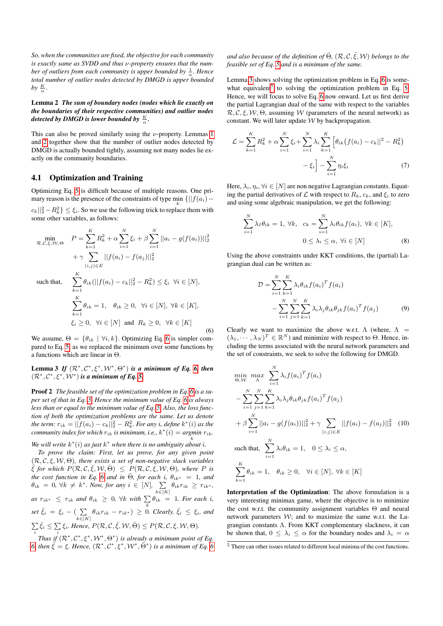*So, when the communities are fixed, the objective for each community is exactly same as SVDD and thus* ν*-property ensures that the num*ber of outliers from each community is upper bounded by  $\frac{1}{\alpha}$ . Hence *total number of outlier nodes detected by DMGD is upper bounded* by  $\frac{K}{\alpha}$ .

## <span id="page-3-0"></span>Lemma 2 *The sum of boundary nodes (nodes which lie exactly on the boundaries of their respective communities) and outlier nodes* detected by DMGD is lower bounded by  $\frac{K}{\alpha}$ .

This can also be proved similarly using the  $\nu$ -property. Lemmas [1](#page-2-3) and [2](#page-3-0) together show that the number of outlier nodes detected by DMGD is actually bounded tightly, assuming not many nodes lie exactly on the community boundaries.

#### <span id="page-3-6"></span>4.1 Optimization and Training

Optimizing Eq. [5](#page-2-4) is difficult because of multiple reasons. One primary reason is the presence of the constraints of type  $\min_{k} \{||f(a_i) |c_k||_2^2 - R_k^2$   $\leq \xi_i$ . So we use the following trick to replace them with some other variables, as follows:

$$
\min_{\mathcal{R}, \mathcal{C}, \xi, \mathcal{W}, \Theta} \quad P = \sum_{k=1}^{K} R_k^2 + \alpha \sum_{i=1}^{N} \xi_i + \beta \sum_{i=1}^{N} ||a_i - g(f(a_i))||_2^2
$$

$$
+ \gamma \sum_{(i,j) \in E} ||f(a_i) - f(a_j)||_2^2
$$

<span id="page-3-1"></span>such that,  $\sum_{k=1}^{K}$ 

<span id="page-3-2"></span>
$$
\sum_{k=1} \theta_{ik} (||f(a_i) - c_k||_2^2 - R_k^2) \le \xi_i \quad \forall i \in [N],
$$
  

$$
\sum_{k=1}^K \theta_{ik} = 1, \quad \theta_{ik} \ge 0, \quad \forall i \in [N], \quad \forall k \in [K],
$$
  

$$
\xi_i \ge 0, \quad \forall i \in [N] \quad \text{and} \quad R_k \ge 0, \quad \forall k \in [K]
$$
 (6)

We assume,  $\Theta = \{\theta_{ik} \mid \forall i, k\}$ . Optimizing Eq. [6](#page-3-1) is simpler compared to Eq. [5,](#page-2-4) as we replaced the minimum over some functions by a functions which are linear in Θ.

Lemma 3 If  $(\mathcal{R}^*, \mathcal{C}^*, \xi^*, \mathcal{W}^*, \Theta^*)$  *is a minimum of Eq.* [6,](#page-3-1) then  $(\mathcal{R}^*, \mathcal{C}^*, \xi^*, \mathcal{W}^*)$  *is a minimum of Eq.* [5.](#page-2-4)

Proof 2 *The feasible set of the optimization problem in Eq. [6](#page-3-1) is a super set of that in Eq. [5.](#page-2-4) Hence the minimum value of Eq. [6](#page-3-1) is always less than or equal to the minimum value of Eq. [5.](#page-2-4) Also, the loss function of both the optimization problems are the same. Let us denote* the term:  $r_{ik} = ||f(a_i) - c_k||_2^2 - R_k^2$ . For any i, define  $k^*(i)$  as the *community index for which*  $r_{ik}$  *is minimum, i.e.,*  $k^*(i) = \underset{k}{argmin} \ r_{ik}$ .

We will write  $k^*(i)$  as just  $k^*$  when there is no ambiguity about *i*.

*To prove the claim: First, let us prove, for any given point* (R, C, ξ, W, Θ)*, there exists a set of non-negative slack variables*  $\frac{1}{5}$  for which  $P(\mathcal{R},\mathcal{C},\bar{\xi},\mathcal{W},\bar{\Theta}) \leq P(\mathcal{R},\mathcal{C},\bar{\xi},\mathcal{W},\Theta)$ *, where* P is *the cost function in Eq.* [6](#page-3-1) *and in*  $\overline{\Theta}$ *, for each i,*  $\theta_{ik^*} = 1$ *, and*  $\theta_{ik} = 0, \forall k \neq k^*$ . Now, for any  $i \in [N]$ ,  $\sum_{k \in [K]} \theta_{ik} r_{ik} \geq r_{ik^*}$ ,  $as \ r_{ik^*} \ \leq \ r_{ik} \ and \ \theta_{ik} \ \geq \ 0, \ \forall k \ with \ \sum_k \theta_{ik} \ = \ 1.$  For each i,  $\delta_{s} = \xi_i - \left( \sum_{k \in [K]} \theta_{ik} r_{ik} - r_{ik^*} \right) \geq 0$ *. Clearly,*  $\bar{\xi}_i \leq \xi_i$ *, and*  $\sum \bar{\xi}_i \leq \sum \xi_i$ . Hence,  $P(\mathcal{R}, \mathcal{C}, \bar{\xi}, \mathcal{W}, \bar{\Theta}) \leq P(\mathcal{R}, \mathcal{C}, \xi, \mathcal{W}, \Theta)$ . *i*<br>Thus if (R<sup>∗</sup>, C<sup>∗</sup>, ξ<sup>∗</sup>, W<sup>∗</sup>, Θ<sup>∗</sup>) is already a minimum point of Eq.

*[6,](#page-3-1)* then  $\bar{\xi} = \xi$ . Hence,  $(\mathcal{R}^*, \mathcal{C}^*, \xi^*, \mathcal{W}^*, \bar{\Theta}^*)$  is a minimum of Eq. [6](#page-3-1)

and also because of the definition of  $\bar{\Theta}$ ,  $(\mathcal{R}, \mathcal{C}, \bar{\xi}, \mathcal{W})$  belongs to the *feasible set of Eq. [5](#page-2-4) and is a minimum of the same.*

Lemma [3](#page-3-2) shows solving the optimization problem in Eq. [6](#page-3-1) is some-what equivalent<sup>[5](#page-3-3)</sup> to solving the optimization problem in Eq. [5.](#page-2-4) Hence, we will focus to solve Eq. [6](#page-3-1) now onward. Let us first derive the partial Lagrangian dual of the same with respect to the variables  $\mathcal{R}, \mathcal{C}, \mathcal{E}, \mathcal{W}, \Theta$ , assuming W (parameters of the neural network) as constant. We will later update  $W$  by backpropagation.

$$
\mathcal{L} = \sum_{k=1}^{K} R_k^2 + \alpha \sum_{i=1}^{N} \xi_i + \sum_{i=1}^{N} \lambda_i \sum_{k=1}^{K} \left[ \theta_{ik} (f(a_i) - c_k ||^2 - R_k^2) - \xi_i \right] - \sum_{i=1}^{N} \eta_i \xi_i
$$
 (7)

Here,  $\lambda_i$ ,  $\eta_i$ ,  $\forall i \in [N]$  are non negative Lagrangian constants. Equating the partial derivatives of  $\mathcal L$  with respect to  $R_k$ ,  $c_k$ , and  $\xi_i$  to zero and using some algebraic manipulation, we get the following:

$$
\sum_{i=1}^{N} \lambda_i \theta_{ik} = 1, \ \forall k, \quad c_k = \sum_{i=1}^{N} \lambda_i \theta_{ik} f(a_i), \ \forall k \in [K],
$$

$$
0 \le \lambda_i \le \alpha, \ \forall i \in [N]
$$
(8)

Using the above constraints under KKT conditions, the (partial) Lagrangian dual can be written as:

<span id="page-3-5"></span>
$$
\mathcal{D} = \sum_{i=1}^{N} \sum_{k=1}^{K} \lambda_i \theta_{ik} f(a_i)^T f(a_i)
$$

$$
- \sum_{i=1}^{N} \sum_{j=1}^{N} \sum_{k=1}^{K} \lambda_i \lambda_j \theta_{ik} \theta_{jk} f(a_i)^T f(a_j)
$$
(9)

Clearly we want to maximize the above w.r.t.  $\Lambda$  (where,  $\Lambda$  =  $(\lambda_1, \dots, \lambda_N)^T \in \mathbb{R}^N$ ) and minimize with respect to  $\Theta$ . Hence, including the terms associated with the neural network parameters and the set of constraints, we seek to solve the following for DMGD.

<span id="page-3-4"></span>
$$
\min_{\Theta, \mathcal{W}} \max_{\Lambda} \sum_{i=1}^{N} \lambda_i f(a_i)^T f(a_i)
$$
\n
$$
- \sum_{i=1}^{N} \sum_{j=1}^{N} \sum_{k=1}^{K} \lambda_i \lambda_j \theta_{ik} \theta_{jk} f(a_i)^T f(a_j)
$$
\n
$$
+ \beta \sum_{i=1}^{N} ||a_i - g(f(a_i))||_2^2 + \gamma \sum_{(i,j) \in E} ||f(a_i) - f(a_j)||_2^2 \quad (10)
$$
\n
$$
\text{such that, } \sum_{i=1}^{N} \lambda_i \theta_{ik} = 1, \quad 0 \le \lambda_i \le \alpha,
$$
\n
$$
\sum_{k=1}^{K} \theta_{ik} = 1, \quad \theta_{ik} \ge 0, \quad \forall i \in [N], \forall k \in [K]
$$

Interpretation of the Optimization: The above formulation is a very interesting minimax game, where the objective is to minimize the cost w.r.t. the community assignment variables Θ and neural network parameters  $W$ ; and to maximize the same w.r.t. the Lagrangian constants Λ. From KKT complementary slackness, it can be shown that,  $0 \leq \lambda_i \leq \alpha$  for the boundary nodes and  $\lambda_i = \alpha$ 

<span id="page-3-3"></span><sup>5</sup> There can other issues related to different local minima of the cost functions.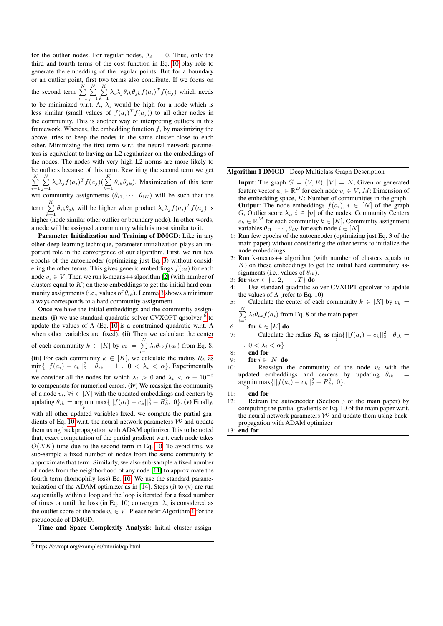for the outlier nodes. For regular nodes,  $\lambda_i = 0$ . Thus, only the third and fourth terms of the cost function in Eq. [10](#page-3-4) play role to generate the embedding of the regular points. But for a boundary or an outlier point, first two terms also contribute. If we focus on

the second term  $\sum_{i=1}^N \sum_{j=1}^N \sum_{k=1}^K \lambda_i \lambda_j \theta_{ik} \theta_{jk} f(a_i)^T f(a_j)$  which needs

to be minimized w.r.t.  $\Lambda$ ,  $\lambda_i$  would be high for a node which is less similar (small values of  $f(a_i)^T f(a_j)$ ) to all other nodes in the community. This is another way of interpreting outliers in this framework. Whereas, the embedding function  $f$ , by maximizing the above, tries to keep the nodes in the same cluster close to each other. Minimizing the first term w.r.t. the neural network parameters is equivalent to having an L2 regularizer on the embeddings of the nodes. The nodes with very high L2 norms are more likely to be outliers because of this term. Rewriting the second term we get  $\sum_{i=1}^N \sum_{j=1}^N \lambda_i \lambda_j f(a_i)^T f(a_j) \left( \sum_{k=1}^K \theta_{ik} \theta_{jk} \right)$ . Maximization of this term wrt community assignments  $(\theta_{i1}, \dots, \theta_{iK})$  will be such that the term  $\sum_{k=1}^{K} \theta_{ik} \theta_{jk}$  will be higher when product  $\lambda_i \lambda_j f(a_i)^T f(a_j)$  is higher (node similar other outlier or boundary node). In other words, a node will be assigned a community which is most similar to it.

Parameter Initialization and Training of DMGD: Like in any other deep learning technique, parameter initialization plays an important role in the convergence of our algorithm. First, we run few epochs of the autoencoder (optimizing just Eq. [3\)](#page-2-0) without considering the other terms. This gives generic embeddings  $f(a_i)$  for each node  $v_i \in V$ . Then we run k-means++ algorithm [\[2\]](#page-7-30) (with number of clusters equal to  $K$ ) on these embeddings to get the initial hard community assignments (i.e., values of  $\theta_{ik}$ ). Lemma [3](#page-3-2) shows a minimum always corresponds to a hard community assignment.

Once we have the initial embeddings and the community assign-ments, (i) we use standard quadratic solver CVXOPT qpsolver <sup>[6](#page-4-0)</sup> to update the values of  $\Lambda$  (Eq. [10](#page-3-4) is a constrained quadratic w.r.t.  $\Lambda$ when other variables are fixed). (ii) Then we calculate the center of each community  $k \in [K]$  by  $c_k = \sum_{i=1}^N \lambda_i \theta_{ik} f(a_i)$  from Eq. [8.](#page-3-5) (iii) For each community  $k \in [K]$ , we calculate the radius  $R_k$  as  $\min_i \{||f(a_i) - c_k||_2^2 \mid \theta_{ik} = 1, 0 < \lambda_i < \alpha\}$ . Experimentally we consider all the nodes for which  $\lambda_i > 0$  and  $\lambda_i < \alpha - 10^{-6}$ to compensate for numerical errors. (iv) We reassign the community of a node  $v_i, \forall i \in [N]$  with the updated embeddings and centers by updating  $\theta_{ik} = \text{argmin} \, \max \{ ||f(a_i) - c_k||_2^2 - R_k^2, 0 \}.$  (v) Finally, with all other updated variables fixed, we compute the partial gra-dients of Eq. [10](#page-3-4) w.r.t. the neural network parameters  $W$  and update them using backpropagation with ADAM optimizer. It is to be noted that, exact computation of the partial gradient w.r.t. each node takes  $O(NK)$  time due to the second term in Eq. [10.](#page-3-4) To avoid this, we sub-sample a fixed number of nodes from the same community to approximate that term. Similarly, we also sub-sample a fixed number of nodes from the neighborhood of any node [\[11\]](#page-7-5) to approximate the fourth term (homophily loss) Eq. [10.](#page-3-4) We use the standard parameterization of the ADAM optimizer as in [\[14\]](#page-7-31). Steps (i) to (v) are run sequentially within a loop and the loop is iterated for a fixed number of times or until the loss (in Eq. 10) converges.  $\lambda_i$  is considered as the outlier score of the node  $v_i \in V$ . Please refer Algorithm [1](#page-4-1) for the pseudocode of DMGD.

Time and Space Complexity Analysis: Initial cluster assign-

<span id="page-4-1"></span>Algorithm 1 DMGD - Deep Multiclass Graph Description

- **Input:** The graph  $G = (V, E), |V| = N$ , Given or generated feature vector  $a_i \in \mathbb{R}^D$  for each node  $v_i \in V$ , M: Dimension of the embedding space,  $K$ : Number of communities in the graph **Output:** The node embeddings  $f(a_i)$ ,  $i \in [N]$  of the graph G, Outlier score  $\lambda_i$ ,  $i \in [n]$  of the nodes, Community Centers  $c_k \in \mathbb{R}^M$  for each community  $k \in [K]$ , Community assignment variables  $\theta_{i1}, \cdots, \theta_{iK}$  for each node  $i \in [N]$ .
- 1: Run few epochs of the autoencoder (optimizing just Eq. 3 of the main paper) without considering the other terms to initialize the node embeddings
- 2: Run k-means++ algorithm (with number of clusters equals to  $K$ ) on these embeddings to get the initial hard community assignments (i.e., values of  $\theta_{ik}$ ).
- 3: for  $iter \in \{1, 2, \cdots, T\}$  do
- Use standard quadratic solver CVXOPT qpsolver to update the values of  $\Lambda$  (refer to Eq. 10)
- 5: Calculate the center of each community  $k \in [K]$  by  $c_k =$  $\sum_{i=1}^{N} \lambda_i \theta_{ik} f(a_i)$  from Eq. 8 of the main paper.
	-
- 6: for  $k \in [K]$  do

7: Calculate the radius 
$$
R_k
$$
 as  $\min_i \{ ||f(a_i) - c_k||_2^2 \mid \theta_{ik} = 1$ ,  $0 < \lambda_i < \alpha \}$ 

8: 
$$
\frac{1}{2}
$$
,  $\frac{0}{2}$ ,  $\frac{20}{2}$ 

- 9: for  $i \in [N]$  do
- 10: Reassign the community of the node  $v_i$  with the updated embeddings and centers by updating  $\theta_{ik}$ argmin max $\{||f(a_i) - c_k||_2^2 - R_k^2, 0\}.$

11:  $\int_{0}^{k}$  end for

12: Retrain the autoencoder (Section 3 of the main paper) by computing the partial gradients of Eq. 10 of the main paper w.r.t. the neural network parameters  $W$  and update them using backpropagation with ADAM optimizer

13: end for

<span id="page-4-0"></span><sup>6</sup> https://cvxopt.org/examples/tutorial/qp.html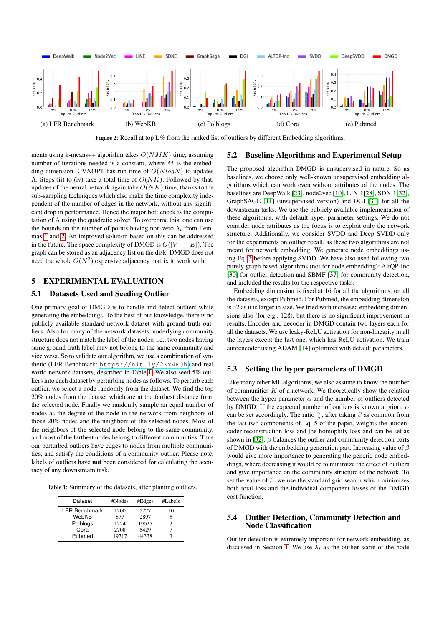<span id="page-5-1"></span>

Figure 2: Recall at top  $L\%$  from the ranked list of outliers by different Embedding algorithms.

ments using k-means++ algorithm takes  $O(NMK)$  time, assuming number of iterations needed is a constant, where  $M$  is the embedding dimension. CVXOPT has run time of  $O(N \log N)$  to updates  $\Lambda$ . Steps (ii) to (iv) take a total time of  $O(NK)$ . Followed by that, updates of the neural network again take  $O(NK)$  time, thanks to the sub-sampling techniques which also make the time complexity independent of the number of edges in the network, without any significant drop in performance. Hence the major bottleneck is the computation of  $\Lambda$  using the quadratic solver. To overcome this, one can use the bounds on the number of points having non-zero  $\lambda_i$  from Lemmas [1](#page-2-3) and [2.](#page-3-0) An improved solution based on this can be addressed in the future. The space complexity of DMGD is  $O(|V| + |E|)$ . The graph can be stored as an adjacency list on the disk. DMGD does not need the whole  $O(N^2)$  expensive adjacency matrix to work with.

#### 5 EXPERIMENTAL EVALUATION

#### 5.1 Datasets Used and Seeding Outlier

One primary goal of DMGD is to handle and detect outliers while generating the embeddings. To the best of our knowledge, there is no publicly available standard network dataset with ground truth outliers. Also for many of the network datasets, underlying community structure does not match the label of the nodes, i.e., two nodes having same ground truth label may not belong to the same community and vice versa. So to validate our algorithm, we use a combination of synthetic (LFR Benchmark: <https://bit.ly/2Xx4EJh>) and real world network datasets, described in Table [1.](#page-5-0) We also seed 5% outliers into each dataset by perturbing nodes as follows. To perturb each outlier, we select a node randomly from the dataset. We find the top 20% nodes from the dataset which are at the farthest distance from the selected node. Finally we randomly sample an equal number of nodes as the degree of the node in the network from neighbors of those 20% nodes and the neighbors of the selected nodes. Most of the neighbors of the selected node belong to the same community, and most of the farthest nodes belong to different communities. Thus our perturbed outliers have edges to nodes from multiple communities, and satisfy the conditions of a community outlier. Please note, labels of outliers have not been considered for calculating the accuracy of any downstream task.

<span id="page-5-0"></span>Table 1: Summary of the datasets, after planting outliers.

| Dataset              | #Nodes | #Edges | #Labels |  |
|----------------------|--------|--------|---------|--|
| <b>LFR Benchmark</b> | 1200   | 5277   | 10      |  |
| WebKB                | 877    | 2897   | 5       |  |
| Polblogs             | 1224   | 19025  | 2       |  |
| Cora                 | 2708   | 5429   |         |  |
| Pubmed               | 19717  | 44338  | 3       |  |

#### 5.2 Baseline Algorithms and Experimental Setup

The proposed algorithm DMGD is unsupervised in nature. So as baselines, we choose only well-known unsupervised embedding algorithms which can work even without attributes of the nodes. The baselines are DeepWalk [\[23\]](#page-7-0), node2vec [\[10\]](#page-7-2), LINE [\[28\]](#page-7-32), SDNE [\[32\]](#page-7-3), GraphSAGE [\[11\]](#page-7-5) (unsupervised version) and DGI [\[31\]](#page-7-6) for all the downstream tasks. We use the publicly available implementation of these algorithms, with default hyper parameter settings. We do not consider node attributes as the focus is to exploit only the network structure. Additionally, we consider SVDD and Deep SVDD only for the experiments on outlier recall, as these two algorithms are not meant for network embedding. We generate node embeddings using Eq. [3](#page-2-0) before applying SVDD. We have also used following two purely graph based algorithms (not for node embedding): AltQP-Inc [\[30\]](#page-7-33) for outlier detection and SBMF [\[37\]](#page-7-34) for community detection, and included the results for the respective tasks.

Embedding dimension is fixed at 16 for all the algorithms, on all the datasets, except Pubmed. For Pubmed, the embedding dimension is 32 as it is larger in size. We tried with increased embedding dimensions also (for e.g., 128), but there is no significant improvement in results. Encoder and decoder in DMGD contain two layers each for all the datasets. We use leaky-ReLU activation for non-linearity in all the layers except the last one, which has ReLU activation. We train autoencoder using ADAM [\[14\]](#page-7-31) optimizer with default parameters.

### 5.3 Setting the hyper parameters of DMGD

Like many other ML algorithms, we also assume to know the number of communities  $K$  of a network. We theoretically show the relation between the hyper parameter  $\alpha$  and the number of outliers detected by DMGD. If the expected number of outliers is known a priori,  $\alpha$ can be set accordingly. The ratio  $\frac{\gamma}{\beta}$ , after taking  $\beta$  as common from the last two components of Eq.  $5$  of the paper, weights the autoencoder reconstruction loss and the homophily loss and can be set as shown in [\[32\]](#page-7-3).  $\beta$  balances the outlier and community detection parts of DMGD with the embedding generation part. Increasing value of  $\beta$ would give more importance to generating the generic node embeddings, where decreasing it would be to minimize the effect of outliers and give importance on the community structure of the network. To set the value of  $\beta$ , we use the standard grid search which minimizes both total loss and the individual component losses of the DMGD cost function.

# 5.4 Outlier Detection, Community Detection and Node Classification

Outlier detection is extremely important for network embedding, as discussed in Section [1.](#page-0-0) We use  $\lambda_i$  as the outlier score of the node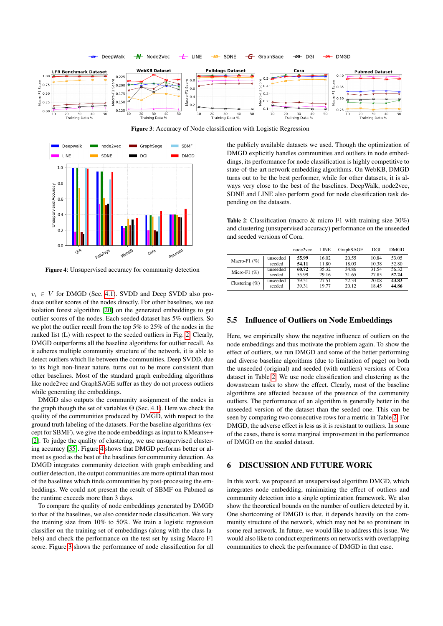<span id="page-6-1"></span>

<span id="page-6-0"></span>

Figure 4: Unsupervised accuracy for community detection

 $v_i \in V$  for DMGD (Sec. [4.1\)](#page-3-6). SVDD and Deep SVDD also produce outlier scores of the nodes directly. For other baselines, we use isolation forest algorithm [\[20\]](#page-7-35) on the generated embeddings to get outlier scores of the nodes. Each seeded dataset has 5% outliers. So we plot the outlier recall from the top 5% to 25% of the nodes in the ranked list (L) with respect to the seeded outliers in Fig. [2.](#page-5-1) Clearly, DMGD outperforms all the baseline algorithms for outlier recall. As it adheres multiple community structure of the network, it is able to detect outliers which lie between the communities. Deep SVDD, due to its high non-linear nature, turns out to be more consistent than other baselines. Most of the standard graph embedding algorithms like node2vec and GraphSAGE suffer as they do not process outliers while generating the embeddings.

DMGD also outputs the community assignment of the nodes in the graph though the set of variables  $\Theta$  (Sec. [4.1\)](#page-3-6). Here we check the quality of the communities produced by DMGD, with respect to the ground truth labeling of the datasets. For the baseline algorithms (except for SBMF), we give the node embeddings as input to KMeans++ [\[2\]](#page-7-30). To judge the quality of clustering, we use unsupervised clustering accuracy [\[35\]](#page-7-36). Figure [4](#page-6-0) shows that DMGD performs better or almost as good as the best of the baselines for community detection. As DMGD integrates community detection with graph embedding and outlier detection, the output communities are more optimal than most of the baselines which finds communities by post-processing the embeddings. We could not present the result of SBMF on Pubmed as the runtime exceeds more than 3 days.

To compare the quality of node embeddings generated by DMGD to that of the baselines, we also consider node classification. We vary the training size from 10% to 50%. We train a logistic regression classifier on the training set of embeddings (along with the class labels) and check the performance on the test set by using Macro F1 score. Figure [3](#page-6-1) shows the performance of node classification for all

the publicly available datasets we used. Though the optimization of DMGD explicitly handles communities and outliers in node embeddings, its performance for node classification is highly competitive to state-of-the-art network embedding algorithms. On WebKB, DMGD turns out to be the best performer, while for other datasets, it is always very close to the best of the baselines. DeepWalk, node2vec, SDNE and LINE also perform good for node classification task depending on the datasets.

<span id="page-6-2"></span>Table 2: Classification (macro & micro F1 with training size 30%) and clustering (unsupervised accuracy) performance on the unseeded and seeded versions of Cora.

|                   |          | node2vec | LINE  | GraphSAGE | DGI   | DMGD  |
|-------------------|----------|----------|-------|-----------|-------|-------|
| Macro-F1 $(\%)$   | unseeded | 55.99    | 16.02 | 20.55     | 10.84 | 53.05 |
|                   | seeded   | 54.11    | 11.80 | 18.03     | 10.38 | 52.80 |
| Micro-F1 $(\%)$   | unseeded | 60.72    | 35.32 | 34.86     | 31.54 | 56.32 |
|                   | seeded   | 55.99    | 29.16 | 31.65     | 27.85 | 57.24 |
| Clustering $(\%)$ | unseeded | 39.51    | 27.51 | 22.34     | 20.08 | 43.83 |
|                   | seeded   | 39.31    | 19.77 | 20.12     | 18.45 | 44.86 |

#### 5.5 Influence of Outliers on Node Embeddings

Here, we empirically show the negative influence of outliers on the node embeddings and thus motivate the problem again. To show the effect of outliers, we run DMGD and some of the better performing and diverse baseline algorithms (due to limitation of page) on both the unseeded (original) and seeded (with outliers) versions of Cora dataset in Table [2.](#page-6-2) We use node classification and clustering as the downstream tasks to show the effect. Clearly, most of the baseline algorithms are affected because of the presence of the community outliers. The performance of an algorithm is generally better in the unseeded version of the dataset than the seeded one. This can be seen by comparing two consecutive rows for a metric in Table [2.](#page-6-2) For DMGD, the adverse effect is less as it is resistant to outliers. In some of the cases, there is some marginal improvement in the performance of DMGD on the seeded dataset.

# 6 DISCUSSION AND FUTURE WORK

In this work, we proposed an unsupervised algorithm DMGD, which integrates node embedding, minimizing the effect of outliers and community detection into a single optimization framework. We also show the theoretical bounds on the number of outliers detected by it. One shortcoming of DMGD is that, it depends heavily on the community structure of the network, which may not be so prominent in some real network. In future, we would like to address this issue. We would also like to conduct experiments on networks with overlapping communities to check the performance of DMGD in that case.